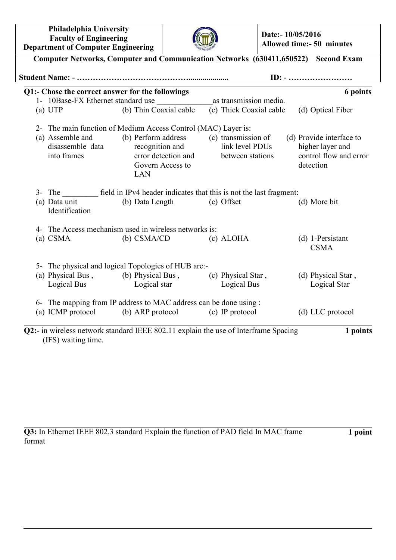| Philadelphia University                   |
|-------------------------------------------|
| <b>Faculty of Engineering</b>             |
| <b>Department of Computer Engineering</b> |



**Date:- 10/05/2016 Allowed time:- 50 minutes**

|                                    | Q1:- Chose the correct answer for the followings                                                                                                                      |            |                         | 6 points                                                                            |
|------------------------------------|-----------------------------------------------------------------------------------------------------------------------------------------------------------------------|------------|-------------------------|-------------------------------------------------------------------------------------|
| 1- 10Base-FX Ethernet standard use |                                                                                                                                                                       |            | as transmission media.  |                                                                                     |
| (a) UTP                            | (b) Thin Coaxial cable                                                                                                                                                |            | (c) Thick Coaxial cable | (d) Optical Fiber                                                                   |
|                                    | 2- The main function of Medium Access Control (MAC) Layer is:                                                                                                         |            |                         |                                                                                     |
| (a) Assemble and<br>into frames    | (b) Perform address (c) transmission of<br>disassemble data recognition and link level PDUs<br>error detection and between stations<br>Govern Access to<br><b>LAN</b> |            |                         | (d) Provide interface to<br>higher layer and<br>control flow and error<br>detection |
|                                    | 3- The field in IPv4 header indicates that this is not the last fragment:                                                                                             |            |                         |                                                                                     |
| (a) Data unit<br>Identification    | (b) Data Length                                                                                                                                                       | (c) Offset |                         | (d) More bit                                                                        |
|                                    | 4- The Access mechanism used in wireless networks is:                                                                                                                 |            |                         |                                                                                     |
| $(a)$ CSMA                         | $(b)$ CSMA/CD                                                                                                                                                         |            | (c) ALOHA               | $(d)$ 1-Persistant<br><b>CSMA</b>                                                   |
|                                    | 5- The physical and logical Topologies of HUB are:-                                                                                                                   |            |                         |                                                                                     |
|                                    | (a) Physical Bus, (b) Physical Bus, (c) Physical Star,<br>Logical Bus Logical star Logical Bus                                                                        |            |                         | (d) Physical Star,<br>Logical Star                                                  |
|                                    | 6- The mapping from IP address to MAC address can be done using :                                                                                                     |            |                         |                                                                                     |
|                                    | (a) ICMP protocol (b) ARP protocol (c) IP protocol                                                                                                                    |            |                         | (d) LLC protocol                                                                    |

**Q3:** In Ethernet IEEE 802.3 standard Explain the function of PAD field In MAC frame format

**1 point**